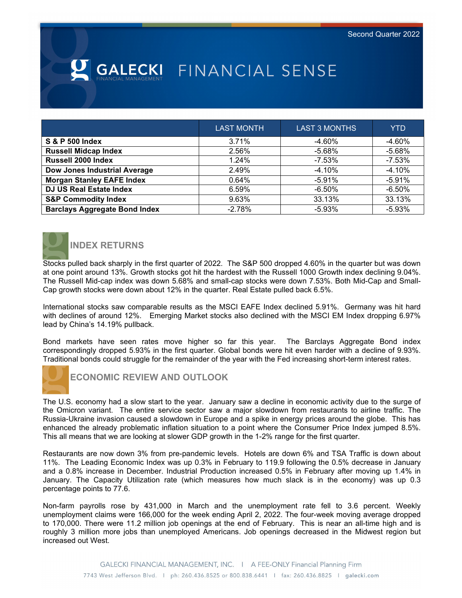# **SALECKI** FINANCIAL SENSE

|                                      | <b>LAST MONTH</b> | <b>LAST 3 MONTHS</b> | <b>YTD</b> |
|--------------------------------------|-------------------|----------------------|------------|
| S & P 500 Index                      | 3.71%             | -4.60%               | $-4.60%$   |
| <b>Russell Midcap Index</b>          | 2.56%             | -5.68%               | $-5.68%$   |
| Russell 2000 Index                   | 1.24%             | -7.53%               | $-7.53%$   |
| <b>Dow Jones Industrial Average</b>  | 2.49%             | $-4.10%$             | $-4.10%$   |
| <b>Morgan Stanley EAFE Index</b>     | 0.64%             | $-5.91%$             | $-5.91%$   |
| <b>DJ US Real Estate Index</b>       | 6.59%             | $-6.50\%$            | $-6.50%$   |
| <b>S&amp;P Commodity Index</b>       | 9.63%             | 33.13%               | 33.13%     |
| <b>Barclays Aggregate Bond Index</b> | $-2.78%$          | $-5.93%$             | $-5.93%$   |



## **INDEX RETURNS**

Stocks pulled back sharply in the first quarter of 2022. The S&P 500 dropped 4.60% in the quarter but was down at one point around 13%. Growth stocks got hit the hardest with the Russell 1000 Growth index declining 9.04%. The Russell Mid-cap index was down 5.68% and small-cap stocks were down 7.53%. Both Mid-Cap and Small-Cap growth stocks were down about 12% in the quarter. Real Estate pulled back 6.5%.

International stocks saw comparable results as the MSCI EAFE Index declined 5.91%. Germany was hit hard with declines of around 12%. Emerging Market stocks also declined with the MSCI EM Index dropping 6.97% lead by China's 14.19% pullback.

Bond markets have seen rates move higher so far this year. The Barclays Aggregate Bond index correspondingly dropped 5.93% in the first quarter. Global bonds were hit even harder with a decline of 9.93%. Traditional bonds could struggle for the remainder of the year with the Fed increasing short-term interest rates.



**ECONOMIC REVIEW AND OUTLOOK**

The U.S. economy had a slow start to the year. January saw a decline in economic activity due to the surge of the Omicron variant. The entire service sector saw a major slowdown from restaurants to airline traffic. The Russia-Ukraine invasion caused a slowdown in Europe and a spike in energy prices around the globe. This has enhanced the already problematic inflation situation to a point where the Consumer Price Index jumped 8.5%. This all means that we are looking at slower GDP growth in the 1-2% range for the first quarter.

Restaurants are now down 3% from pre-pandemic levels. Hotels are down 6% and TSA Traffic is down about 11%. The Leading Economic Index was up 0.3% in February to 119.9 following the 0.5% decrease in January and a 0.8% increase in December. Industrial Production increased 0.5% in February after moving up 1.4% in January. The Capacity Utilization rate (which measures how much slack is in the economy) was up 0.3 percentage points to 77.6.

Non-farm payrolls rose by 431,000 in March and the unemployment rate fell to 3.6 percent. Weekly unemployment claims were 166,000 for the week ending April 2, 2022. The four-week moving average dropped to 170,000. There were 11.2 million job openings at the end of February. This is near an all-time high and is roughly 3 million more jobs than unemployed Americans. Job openings decreased in the Midwest region but increased out West.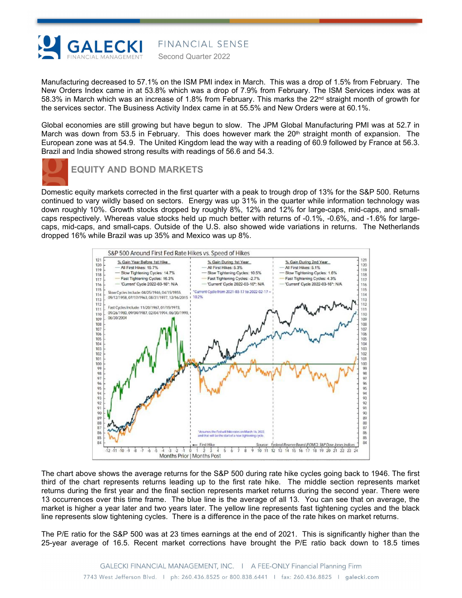

Manufacturing decreased to 57.1% on the ISM PMI index in March. This was a drop of 1.5% from February. The New Orders Index came in at 53.8% which was a drop of 7.9% from February. The ISM Services index was at 58.3% in March which was an increase of 1.8% from February. This marks the  $22^{nd}$  straight month of growth for the services sector. The Business Activity Index came in at 55.5% and New Orders were at 60.1%.

Second Quarter 2022

FINANCIAL SENSE

Global economies are still growing but have begun to slow. The JPM Global Manufacturing PMI was at 52.7 in March was down from 53.5 in February. This does however mark the  $20<sup>th</sup>$  straight month of expansion. The European zone was at 54.9. The United Kingdom lead the way with a reading of 60.9 followed by France at 56.3. Brazil and India showed strong results with readings of 56.6 and 54.3.



#### **EQUITY AND BOND MARKETS**

Domestic equity markets corrected in the first quarter with a peak to trough drop of 13% for the S&P 500. Returns continued to vary wildly based on sectors. Energy was up 31% in the quarter while information technology was down roughly 10%. Growth stocks dropped by roughly 8%, 12% and 12% for large-caps, mid-caps, and smallcaps respectively. Whereas value stocks held up much better with returns of -0.1%, -0.6%, and -1.6% for largecaps, mid-caps, and small-caps. Outside of the U.S. also showed wide variations in returns. The Netherlands dropped 16% while Brazil was up 35% and Mexico was up 8%.



The chart above shows the average returns for the S&P 500 during rate hike cycles going back to 1946. The first third of the chart represents returns leading up to the first rate hike. The middle section represents market returns during the first year and the final section represents market returns during the second year. There were 13 occurrences over this time frame. The blue line is the average of all 13. You can see that on average, the market is higher a year later and two years later. The yellow line represents fast tightening cycles and the black line represents slow tightening cycles. There is a difference in the pace of the rate hikes on market returns.

The P/E ratio for the S&P 500 was at 23 times earnings at the end of 2021. This is significantly higher than the 25-year average of 16.5. Recent market corrections have brought the P/E ratio back down to 18.5 times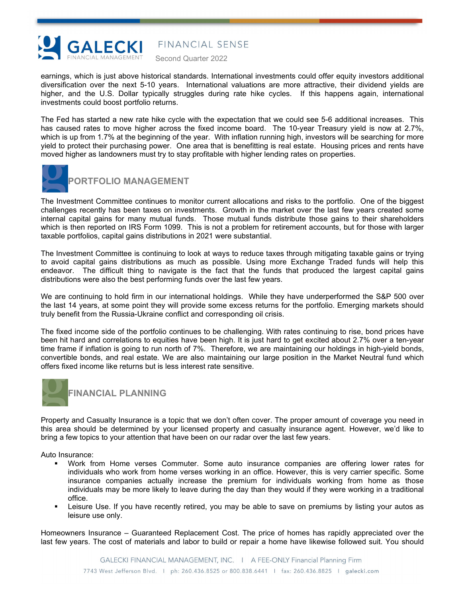

FINANCIAL SENSE

Second Quarter 2022

earnings, which is just above historical standards. International investments could offer equity investors additional diversification over the next 5-10 years. International valuations are more attractive, their dividend yields are higher, and the U.S. Dollar typically struggles during rate hike cycles. If this happens again, international investments could boost portfolio returns.

The Fed has started a new rate hike cycle with the expectation that we could see 5-6 additional increases. This has caused rates to move higher across the fixed income board. The 10-year Treasury yield is now at 2.7%, which is up from 1.7% at the beginning of the year. With inflation running high, investors will be searching for more yield to protect their purchasing power. One area that is benefitting is real estate. Housing prices and rents have moved higher as landowners must try to stay profitable with higher lending rates on properties.



#### **PORTFOLIO MANAGEMENT**

The Investment Committee continues to monitor current allocations and risks to the portfolio. One of the biggest challenges recently has been taxes on investments. Growth in the market over the last few years created some internal capital gains for many mutual funds. Those mutual funds distribute those gains to their shareholders which is then reported on IRS Form 1099. This is not a problem for retirement accounts, but for those with larger taxable portfolios, capital gains distributions in 2021 were substantial.

The Investment Committee is continuing to look at ways to reduce taxes through mitigating taxable gains or trying to avoid capital gains distributions as much as possible. Using more Exchange Traded funds will help this endeavor. The difficult thing to navigate is the fact that the funds that produced the largest capital gains distributions were also the best performing funds over the last few years.

We are continuing to hold firm in our international holdings. While they have underperformed the S&P 500 over the last 14 years, at some point they will provide some excess returns for the portfolio. Emerging markets should truly benefit from the Russia-Ukraine conflict and corresponding oil crisis.

The fixed income side of the portfolio continues to be challenging. With rates continuing to rise, bond prices have been hit hard and correlations to equities have been high. It is just hard to get excited about 2.7% over a ten-year time frame if inflation is going to run north of 7%. Therefore, we are maintaining our holdings in high-yield bonds, convertible bonds, and real estate. We are also maintaining our large position in the Market Neutral fund which offers fixed income like returns but is less interest rate sensitive.



### **FINANCIAL PLANNING**

Property and Casualty Insurance is a topic that we don't often cover. The proper amount of coverage you need in this area should be determined by your licensed property and casualty insurance agent. However, we'd like to bring a few topics to your attention that have been on our radar over the last few years.

Auto Insurance:

- Work from Home verses Commuter. Some auto insurance companies are offering lower rates for individuals who work from home verses working in an office. However, this is very carrier specific. Some insurance companies actually increase the premium for individuals working from home as those individuals may be more likely to leave during the day than they would if they were working in a traditional office.
- Leisure Use. If you have recently retired, you may be able to save on premiums by listing your autos as leisure use only.

Homeowners Insurance – Guaranteed Replacement Cost. The price of homes has rapidly appreciated over the last few years. The cost of materials and labor to build or repair a home have likewise followed suit. You should